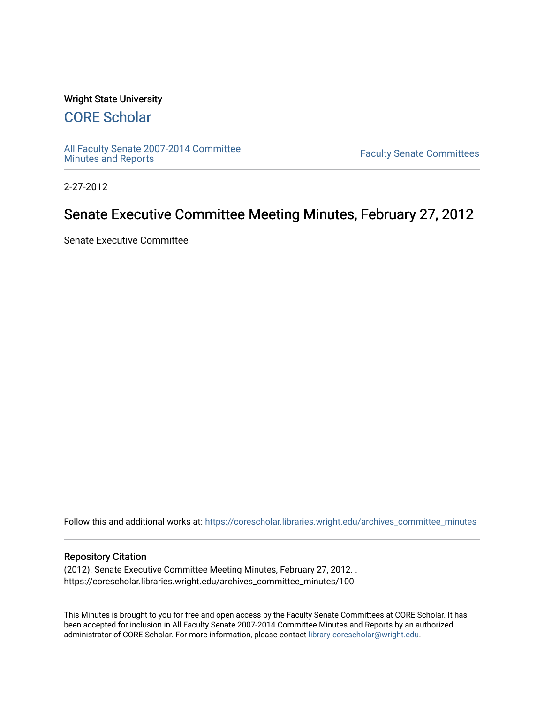#### Wright State University

# [CORE Scholar](https://corescholar.libraries.wright.edu/)

[All Faculty Senate 2007-2014 Committee](https://corescholar.libraries.wright.edu/archives_committee_minutes)

**Faculty Senate Committees** 

2-27-2012

# Senate Executive Committee Meeting Minutes, February 27, 2012

Senate Executive Committee

Follow this and additional works at: [https://corescholar.libraries.wright.edu/archives\\_committee\\_minutes](https://corescholar.libraries.wright.edu/archives_committee_minutes?utm_source=corescholar.libraries.wright.edu%2Farchives_committee_minutes%2F100&utm_medium=PDF&utm_campaign=PDFCoverPages) 

#### Repository Citation

(2012). Senate Executive Committee Meeting Minutes, February 27, 2012. . https://corescholar.libraries.wright.edu/archives\_committee\_minutes/100

This Minutes is brought to you for free and open access by the Faculty Senate Committees at CORE Scholar. It has been accepted for inclusion in All Faculty Senate 2007-2014 Committee Minutes and Reports by an authorized administrator of CORE Scholar. For more information, please contact [library-corescholar@wright.edu.](mailto:library-corescholar@wright.edu)